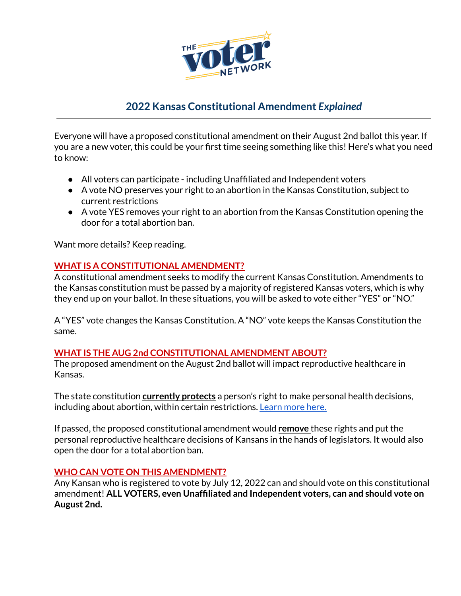

# **2022 Kansas Constitutional Amendment** *Explained*

Everyone will have a proposed constitutional amendment on their August 2nd ballot this year. If you are a new voter, this could be your first time seeing something like this! Here's what you need to know:

- All voters can participate including Unaffiliated and Independent voters
- A vote NO preserves your right to an abortion in the Kansas Constitution, subject to current restrictions
- A vote YES removes your right to an abortion from the Kansas Constitution opening the door for a total abortion ban.

Want more details? Keep reading.

## **WHAT IS A CONSTITUTIONAL AMENDMENT?**

A constitutional amendment seeks to modify the current Kansas Constitution. Amendments to the Kansas constitution must be passed by a majority of registered Kansas voters, which is why they end up on your ballot. In these situations, you will be asked to vote either "YES" or "NO."

A "YES" vote changes the Kansas Constitution. A "NO" vote keeps the Kansas Constitution the same.

#### **WHAT IS THE AUG 2nd CONSTITUTIONAL AMENDMENT ABOUT?**

The proposed amendment on the August 2nd ballot will impact reproductive healthcare in Kansas.

The state constitution **currently protects** a person's right to make personal health decisions, including about abortion, within certain restrictions. [Learn](https://www.guttmacher.org/sites/default/files/factsheet/sfaa-ks.pdf) more here.

If passed, the proposed constitutional amendment would **remove** these rights and put the personal reproductive healthcare decisions of Kansans in the hands of legislators. It would also open the door for a total abortion ban.

#### **WHO CAN VOTE ON THIS AMENDMENT?**

Any Kansan who is registered to vote by July 12, 2022 can and should vote on this constitutional amendment! **ALL VOTERS, even Unaffiliated and Independent voters, can and should vote on August 2nd.**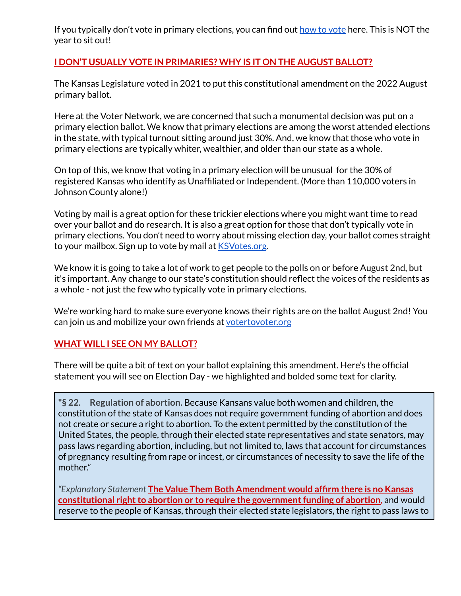If you typically don't [vote](http://www.thevoternetwork.org/howtovote/) in primary elections, you can find out how to vote here. This is NOT the year to sit out!

#### **I DON'T USUALLY VOTE IN PRIMARIES? WHY IS IT ON THE AUGUST BALLOT?**

The Kansas Legislature voted in 2021 to put this constitutional amendment on the 2022 August primary ballot.

Here at the Voter Network, we are concerned that such a monumental decision was put on a primary election ballot. We know that primary elections are among the worst attended elections in the state, with typical turnout sitting around just 30%. And, we know that those who vote in primary elections are typically whiter, wealthier, and older than our state as a whole.

On top of this, we know that voting in a primary election will be unusual for the 30% of registered Kansas who identify as Unaffiliated or Independent. (More than 110,000 voters in Johnson County alone!)

Voting by mail is a great option for these trickier elections where you might want time to read over your ballot and do research. It is also a great option for those that don't typically vote in primary elections. You don't need to worry about missing election day, your ballot comes straight to your mailbox. Sign up to vote by mail at **[KSVotes.org](http://www.ksvotes.org)**.

We know it is going to take a lot of work to get people to the polls on or before August 2nd, but it's important. Any change to our state's constitution should reflect the voices of the residents as a whole - not just the few who typically vote in primary elections.

We're working hard to make sure everyone knows their rights are on the ballot August 2nd! You can join us and mobilize your own friends at [votertovoter.org](http://www.votertovoter.org)

#### **WHAT WILL I SEE ON MY BALLOT?**

There will be quite a bit of text on your ballot explaining this amendment. Here's the official statement you will see on Election Day - we highlighted and bolded some text for clarity.

**"§ 22. Regulation of abortion.** Because Kansans value both women and children, the constitution of the state of Kansas does not require government funding of abortion and does not create or secure a right to abortion. To the extent permitted by the constitution of the United States, the people, through their elected state representatives and state senators, may pass laws regarding abortion, including, but not limited to, laws that account for circumstances of pregnancy resulting from rape or incest, or circumstances of necessity to save the life of the mother."

*"Explanatory Statement* **The Value Them Both Amendment would affirm there is no Kansas constitutional right to abortion or to require the government funding of abortion, and would** reserve to the people of Kansas, through their elected state legislators, the right to pass laws to